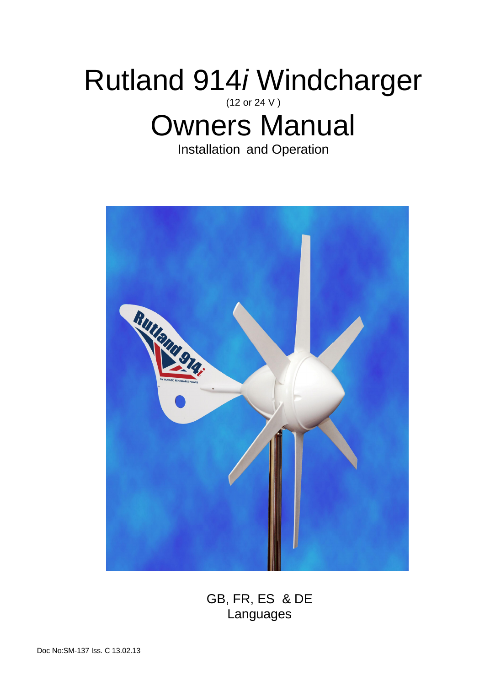# Rutland 914*i* Windcharger

(12 or 24 V )

# Owners Manual

Installation and Operation



GB, FR, ES & DE Languages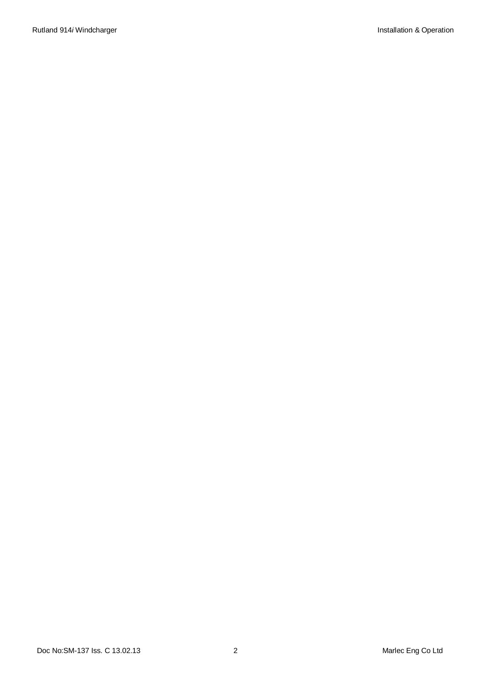Rutland 914*i* Windcharger **Installation & Operation Installation & Operation**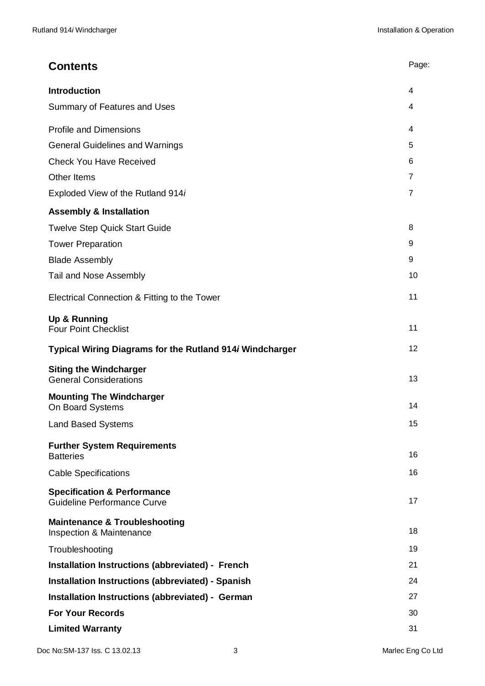| <b>Contents</b>                                                              | Page:          |
|------------------------------------------------------------------------------|----------------|
| <b>Introduction</b>                                                          | 4              |
| Summary of Features and Uses                                                 | 4              |
| <b>Profile and Dimensions</b>                                                | 4              |
| <b>General Guidelines and Warnings</b>                                       | 5              |
| <b>Check You Have Received</b>                                               | 6              |
| Other Items                                                                  | $\overline{7}$ |
| Exploded View of the Rutland 914i                                            | $\overline{7}$ |
| <b>Assembly &amp; Installation</b>                                           |                |
| <b>Twelve Step Quick Start Guide</b>                                         | 8              |
| <b>Tower Preparation</b>                                                     | 9              |
| <b>Blade Assembly</b>                                                        | 9              |
| Tail and Nose Assembly                                                       | 10             |
| Electrical Connection & Fitting to the Tower                                 | 11             |
| Up & Running<br><b>Four Point Checklist</b>                                  | 11             |
|                                                                              |                |
| Typical Wiring Diagrams for the Rutland 914i Windcharger                     | 12             |
| <b>Siting the Windcharger</b><br><b>General Considerations</b>               | 13             |
| <b>Mounting The Windcharger</b><br>On Board Systems                          | 14             |
| <b>Land Based Systems</b>                                                    | 15             |
| <b>Further System Requirements</b><br><b>Batteries</b>                       | 16             |
| <b>Cable Specifications</b>                                                  | 16             |
| <b>Specification &amp; Performance</b><br><b>Guideline Performance Curve</b> | 17             |
| <b>Maintenance &amp; Troubleshooting</b><br>Inspection & Maintenance         | 18             |
| Troubleshooting                                                              | 19             |
| Installation Instructions (abbreviated) - French                             | 21             |
| <b>Installation Instructions (abbreviated) - Spanish</b>                     | 24             |
| Installation Instructions (abbreviated) - German                             | 27             |
| <b>For Your Records</b>                                                      | 30             |
| <b>Limited Warranty</b>                                                      | 31             |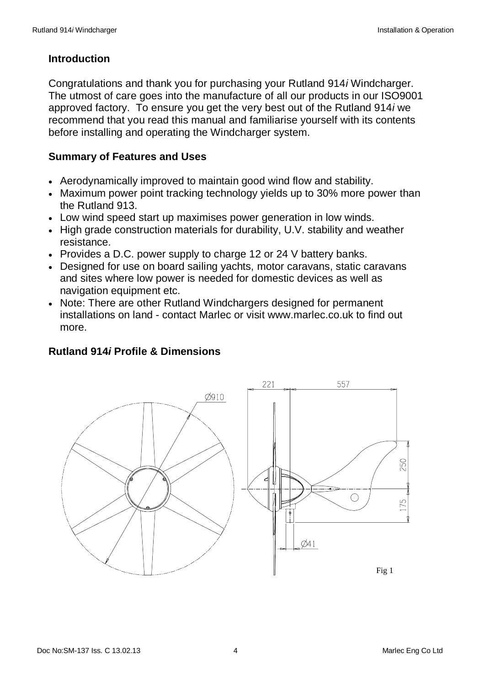# **Introduction**

Congratulations and thank you for purchasing your Rutland 914*i* Windcharger. The utmost of care goes into the manufacture of all our products in our ISO9001 approved factory. To ensure you get the very best out of the Rutland 914*i* we recommend that you read this manual and familiarise yourself with its contents before installing and operating the Windcharger system.

#### **Summary of Features and Uses**

- Aerodynamically improved to maintain good wind flow and stability.
- Maximum power point tracking technology yields up to 30% more power than the Rutland 913.
- Low wind speed start up maximises power generation in low winds.
- High grade construction materials for durability, U.V. stability and weather resistance.
- Provides a D.C. power supply to charge 12 or 24 V battery banks.
- Designed for use on board sailing yachts, motor caravans, static caravans and sites where low power is needed for domestic devices as well as navigation equipment etc.
- Note: There are other Rutland Windchargers designed for permanent installations on land - contact Marlec or visit www.marlec.co.uk to find out more.

## **Rutland 914***i* **Profile & Dimensions**

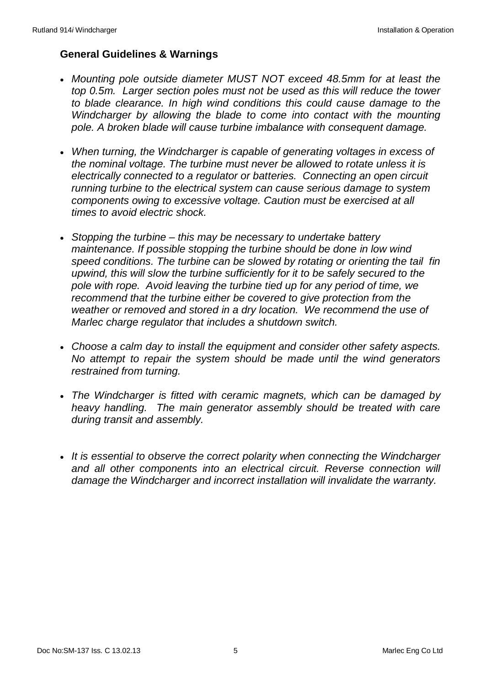#### **General Guidelines & Warnings**

- x *Mounting pole outside diameter MUST NOT exceed 48.5mm for at least the top 0.5m. Larger section poles must not be used as this will reduce the tower to blade clearance. In high wind conditions this could cause damage to the Windcharger by allowing the blade to come into contact with the mounting pole. A broken blade will cause turbine imbalance with consequent damage.*
- x *When turning, the Windcharger is capable of generating voltages in excess of the nominal voltage. The turbine must never be allowed to rotate unless it is electrically connected to a regulator or batteries. Connecting an open circuit running turbine to the electrical system can cause serious damage to system components owing to excessive voltage. Caution must be exercised at all times to avoid electric shock.*
- *Stopping the turbine this may be necessary to undertake battery maintenance. If possible stopping the turbine should be done in low wind speed conditions. The turbine can be slowed by rotating or orienting the tail fin upwind, this will slow the turbine sufficiently for it to be safely secured to the pole with rope. Avoid leaving the turbine tied up for any period of time, we recommend that the turbine either be covered to give protection from the weather or removed and stored in a dry location. We recommend the use of Marlec charge regulator that includes a shutdown switch.*
- x *Choose a calm day to install the equipment and consider other safety aspects. No attempt to repair the system should be made until the wind generators restrained from turning.*
- The Windcharger is fitted with ceramic magnets, which can be damaged by *heavy handling. The main generator assembly should be treated with care during transit and assembly.*
- It is essential to observe the correct polarity when connecting the Windcharger and all other components into an electrical circuit. Reverse connection will *damage the Windcharger and incorrect installation will invalidate the warranty.*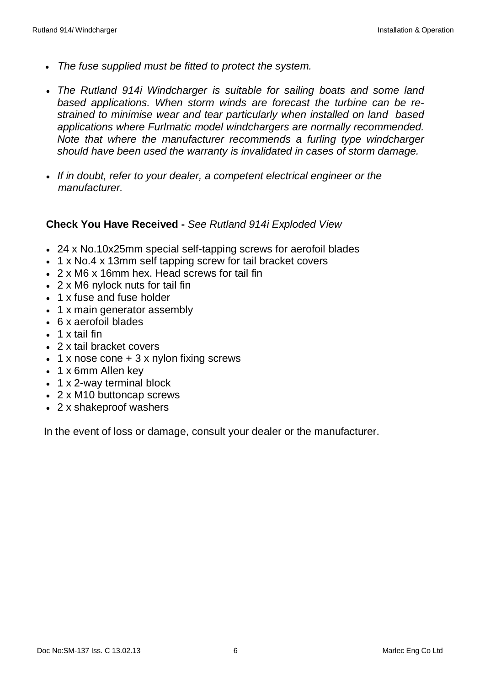- The fuse supplied must be fitted to protect the system.
- x *The Rutland 914i Windcharger is suitable for sailing boats and some land based applications. When storm winds are forecast the turbine can be restrained to minimise wear and tear particularly when installed on land based applications where Furlmatic model windchargers are normally recommended. Note that where the manufacturer recommends a furling type windcharger should have been used the warranty is invalidated in cases of storm damage.*
- x *If in doubt, refer to your dealer, a competent electrical engineer or the manufacturer.*

#### **Check You Have Received -** *See Rutland 914i Exploded View*

- 24 x No.10x25mm special self-tapping screws for aerofoil blades
- x 1 x No.4 x 13mm self tapping screw for tail bracket covers
- x 2 x M6 x 16mm hex. Head screws for tail fin
- $\cdot$  2 x M6 nylock nuts for tail fin
- 1 x fuse and fuse holder
- 1 x main generator assembly
- x 6 x aerofoil blades
- $\cdot$  1 x tail fin
- 2 x tail bracket covers
- $\cdot$  1 x nose cone + 3 x nylon fixing screws
- x 1 x 6mm Allen key
- 1 x 2-way terminal block
- 2 x M10 buttoncap screws
- $\cdot$  2 x shakeproof washers

In the event of loss or damage, consult your dealer or the manufacturer.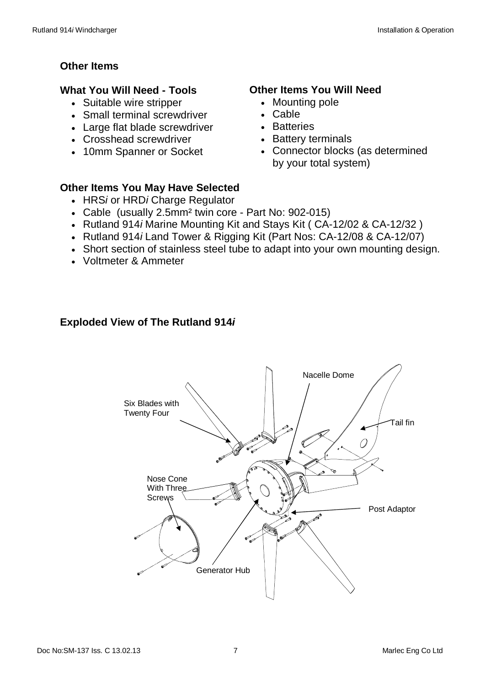# **Other Items**

#### **What You Will Need - Tools**

- Suitable wire stripper
- Small terminal screwdriver
- Large flat blade screwdriver
- Crosshead screwdriver
- 10mm Spanner or Socket

#### **Other Items You Will Need**

- Mounting pole
- x Cable
- Batteries
- Battery terminals
- Connector blocks (as determined by your total system)

#### **Other Items You May Have Selected**

- x HRS*i* or HRD*i* Charge Regulator
- Cable (usually 2.5mm<sup>2</sup> twin core Part No: 902-015)
- x Rutland 914*i* Marine Mounting Kit and Stays Kit ( CA-12/02 & CA-12/32 )
- x Rutland 914*i* Land Tower & Rigging Kit (Part Nos: CA-12/08 & CA-12/07)
- Short section of stainless steel tube to adapt into your own mounting design.
- x Voltmeter & Ammeter

#### **Exploded View of The Rutland 914***i*

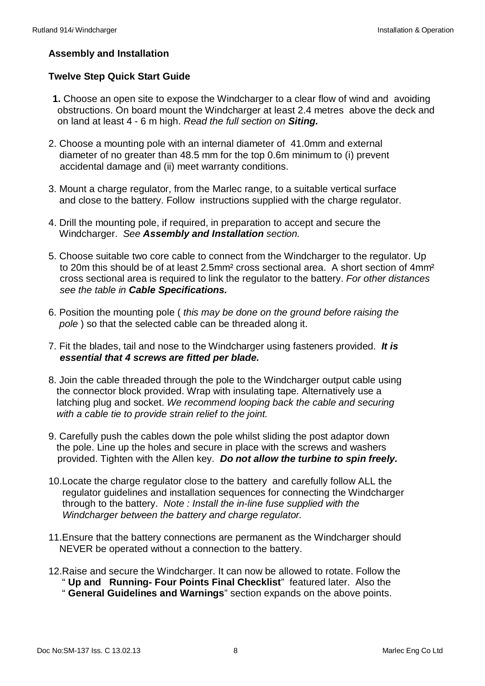#### **Assembly and Installation**

#### **Twelve Step Quick Start Guide**

- **1.** Choose an open site to expose the Windcharger to a clear flow of wind and avoiding obstructions. On board mount the Windcharger at least 2.4 metres above the deck and on land at least 4 - 6 m high. *Read the full section on Siting.*
- 2. Choose a mounting pole with an internal diameter of 41.0mm and external diameter of no greater than 48.5 mm for the top 0.6m minimum to (i) prevent accidental damage and (ii) meet warranty conditions.
- 3. Mount a charge regulator, from the Marlec range, to a suitable vertical surface and close to the battery. Follow instructions supplied with the charge regulator.
- 4. Drill the mounting pole, if required, in preparation to accept and secure the Windcharger. *See Assembly and Installation section.*
- 5. Choose suitable two core cable to connect from the Windcharger to the regulator. Up to 20m this should be of at least 2.5mm² cross sectional area. A short section of 4mm² cross sectional area is required to link the regulator to the battery. *For other distances see the table in Cable Specifications.*
- 6. Position the mounting pole ( *this may be done on the ground before raising the pole* ) so that the selected cable can be threaded along it.
- 7. Fit the blades, tail and nose to the Windcharger using fasteners provided. *It is essential that 4 screws are fitted per blade.*
- 8. Join the cable threaded through the pole to the Windcharger output cable using the connector block provided. Wrap with insulating tape. Alternatively use a latching plug and socket. *We recommend looping back the cable and securing with a cable tie to provide strain relief to the joint.*
- 9. Carefully push the cables down the pole whilst sliding the post adaptor down the pole. Line up the holes and secure in place with the screws and washers provided. Tighten with the Allen key. *Do not allow the turbine to spin freely.*
- 10.Locate the charge regulator close to the battery and carefully follow ALL the regulator guidelines and installation sequences for connecting the Windcharger through to the battery. *Note : Install the in-line fuse supplied with the Windcharger between the battery and charge regulator.*
- 11.Ensure that the battery connections are permanent as the Windcharger should NEVER be operated without a connection to the battery.
- 12.Raise and secure the Windcharger. It can now be allowed to rotate. Follow the " **Up and Running- Four Points Final Checklist**" featured later. Also the
	- " **General Guidelines and Warnings**" section expands on the above points.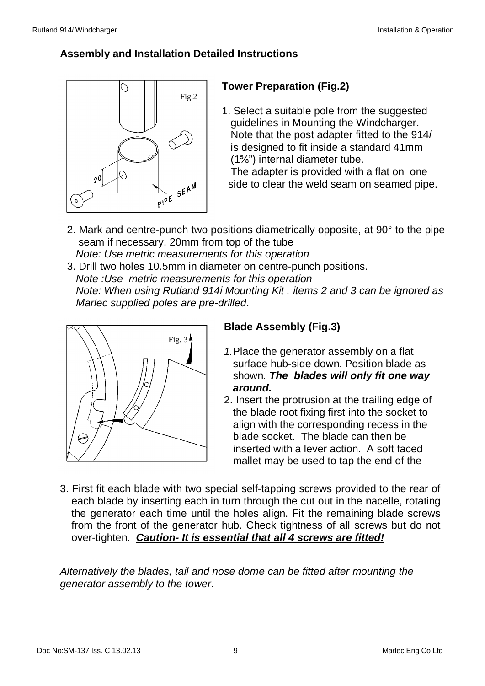# **Assembly and Installation Detailed Instructions**



## **Tower Preparation (Fig.2)**

- 1. Select a suitable pole from the suggested guidelines in Mounting the Windcharger. Note that the post adapter fitted to the 914*i* is designed to fit inside a standard 41mm (1ǫ") internal diameter tube. The adapter is provided with a flat on one side to clear the weld seam on seamed pipe.
- 2. Mark and centre-punch two positions diametrically opposite, at 90° to the pipe seam if necessary, 20mm from top of the tube  *Note: Use metric measurements for this operation*
- 3. Drill two holes 10.5mm in diameter on centre-punch positions.  *Note :Use metric measurements for this operation Note: When using Rutland 914i Mounting Kit , items 2 and 3 can be ignored as Marlec supplied poles are pre-drilled*.



#### **Blade Assembly (Fig.3)**

- 1. Place the generator assembly on a flat surface hub-side down. Position blade as shown*. The blades will only fit one way around.*
- 2. Insert the protrusion at the trailing edge of the blade root fixing first into the socket to align with the corresponding recess in the blade socket. The blade can then be inserted with a lever action. A soft faced mallet may be used to tap the end of the
- 3. First fit each blade with two special self-tapping screws provided to the rear of each blade by inserting each in turn through the cut out in the nacelle, rotating the generator each time until the holes align. Fit the remaining blade screws from the front of the generator hub. Check tightness of all screws but do not over-tighten. *Caution- It is essential that all 4 screws are fitted!*

*Alternatively the blades, tail and nose dome can be fitted after mounting the generator assembly to the tower*.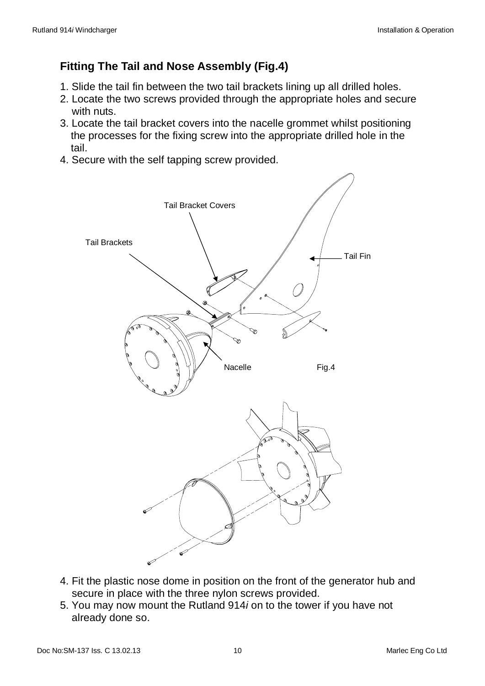# **Fitting The Tail and Nose Assembly (Fig.4)**

- 1. Slide the tail fin between the two tail brackets lining up all drilled holes.
- 2. Locate the two screws provided through the appropriate holes and secure with nuts.
- 3. Locate the tail bracket covers into the nacelle grommet whilst positioning the processes for the fixing screw into the appropriate drilled hole in the tail.
- 4. Secure with the self tapping screw provided.



- 4. Fit the plastic nose dome in position on the front of the generator hub and secure in place with the three nylon screws provided.
- 5. You may now mount the Rutland 914*i* on to the tower if you have not already done so.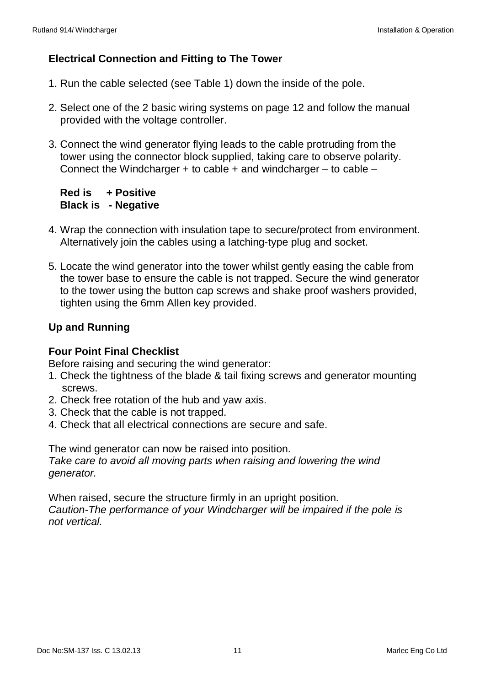# **Electrical Connection and Fitting to The Tower**

- 1. Run the cable selected (see Table 1) down the inside of the pole.
- 2. Select one of the 2 basic wiring systems on page 12 and follow the manual provided with the voltage controller.
- 3. Connect the wind generator flying leads to the cable protruding from the tower using the connector block supplied, taking care to observe polarity. Connect the Windcharger  $+$  to cable  $+$  and windcharger  $-$  to cable  $-$

## **Red is + Positive Black is - Negative**

- 4. Wrap the connection with insulation tape to secure/protect from environment. Alternatively join the cables using a latching-type plug and socket.
- 5. Locate the wind generator into the tower whilst gently easing the cable from the tower base to ensure the cable is not trapped. Secure the wind generator to the tower using the button cap screws and shake proof washers provided, tighten using the 6mm Allen key provided.

## **Up and Running**

#### **Four Point Final Checklist**

Before raising and securing the wind generator:

- 1. Check the tightness of the blade & tail fixing screws and generator mounting screws.
- 2. Check free rotation of the hub and yaw axis.
- 3. Check that the cable is not trapped.
- 4. Check that all electrical connections are secure and safe.

The wind generator can now be raised into position.

*Take care to avoid all moving parts when raising and lowering the wind generator.* 

When raised, secure the structure firmly in an upright position. *Caution-The performance of your Windcharger will be impaired if the pole is not vertical.*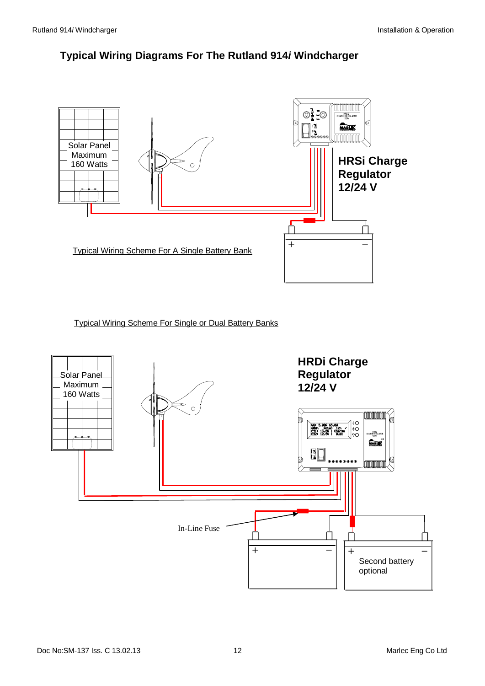#### **Typical Wiring Diagrams For The Rutland 914***i* **Windcharger**



#### Typical Wiring Scheme For Single or Dual Battery Banks

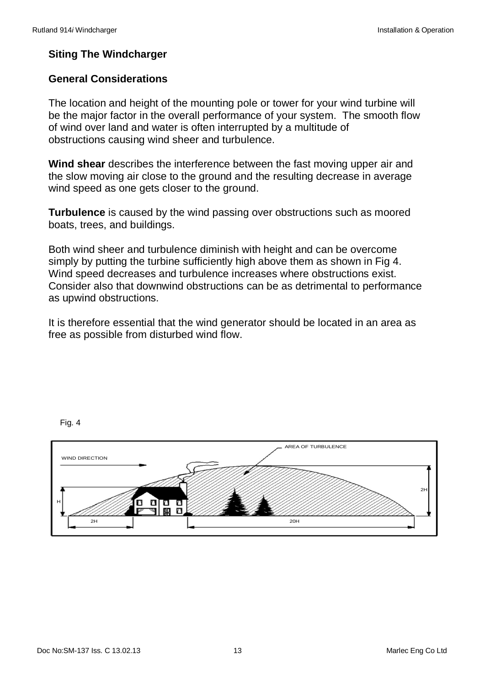#### **Siting The Windcharger**

#### **General Considerations**

The location and height of the mounting pole or tower for your wind turbine will be the major factor in the overall performance of your system. The smooth flow of wind over land and water is often interrupted by a multitude of obstructions causing wind sheer and turbulence.

**Wind shear** describes the interference between the fast moving upper air and the slow moving air close to the ground and the resulting decrease in average wind speed as one gets closer to the ground.

**Turbulence** is caused by the wind passing over obstructions such as moored boats, trees, and buildings.

Both wind sheer and turbulence diminish with height and can be overcome simply by putting the turbine sufficiently high above them as shown in Fig 4. Wind speed decreases and turbulence increases where obstructions exist. Consider also that downwind obstructions can be as detrimental to performance as upwind obstructions.

It is therefore essential that the wind generator should be located in an area as free as possible from disturbed wind flow.



Fig. 4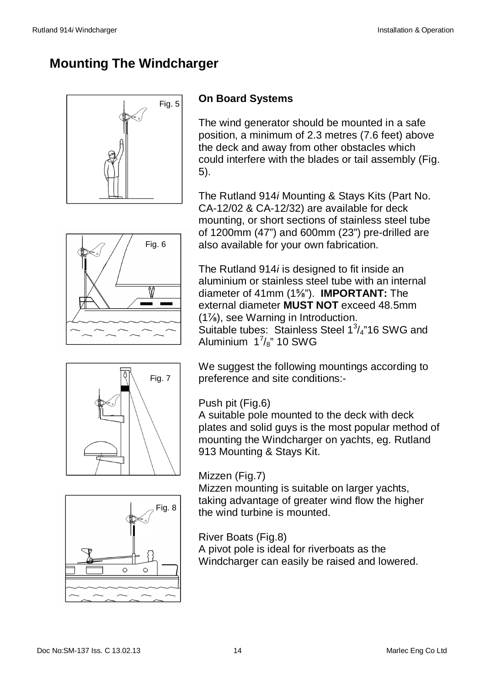# **Mounting The Windcharger**



Fig. 6

**On Board Systems** 

The wind generator should be mounted in a safe position, a minimum of 2.3 metres (7.6 feet) above the deck and away from other obstacles which could interfere with the blades or tail assembly (Fig. 5).

The Rutland 914*i* Mounting & Stays Kits (Part No. CA-12/02 & CA-12/32) are available for deck mounting, or short sections of stainless steel tube of 1200mm (47") and 600mm (23") pre-drilled are also available for your own fabrication.

The Rutland 914*i* is designed to fit inside an aluminium or stainless steel tube with an internal diameter of 41mm (1ǫ"). **IMPORTANT:** The external diameter **MUST NOT** exceed 48.5mm (1Ǭ), see Warning in Introduction. Suitable tubes: Stainless Steel  $1^3/4$ "16 SWG and Aluminium  $1^{7}/_{8}$ " 10 SWG



Fig. 8  $\circ$  $\Omega$ 

We suggest the following mountings according to preference and site conditions:-

## Push pit (Fig.6)

A suitable pole mounted to the deck with deck plates and solid guys is the most popular method of mounting the Windcharger on yachts, eg. Rutland 913 Mounting & Stays Kit.

#### Mizzen (Fig.7)

Mizzen mounting is suitable on larger vachts. taking advantage of greater wind flow the higher the wind turbine is mounted.

# River Boats (Fig.8)

A pivot pole is ideal for riverboats as the Windcharger can easily be raised and lowered.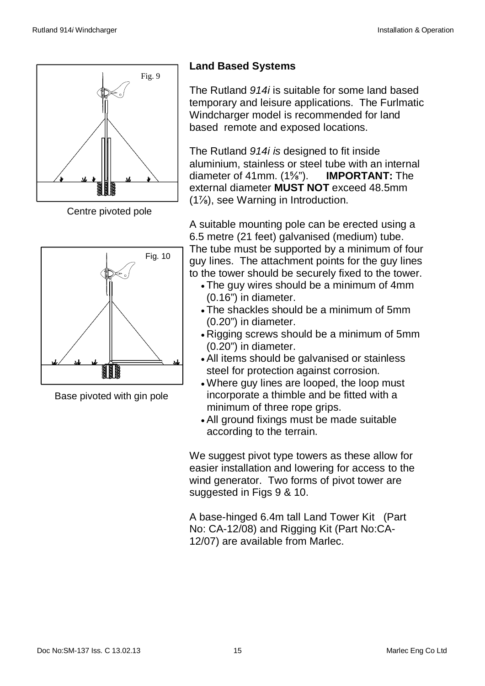

Centre pivoted pole



Base pivoted with gin pole

# **Land Based Systems**

The Rutland *914i* is suitable for some land based temporary and leisure applications. The Furlmatic Windcharger model is recommended for land based remote and exposed locations.

The Rutland *914i is* designed to fit inside aluminium, stainless or steel tube with an internal diameter of 41mm. (1ǫ"). **IMPORTANT:** The external diameter **MUST NOT** exceed 48.5mm (1Ǭ), see Warning in Introduction.

A suitable mounting pole can be erected using a 6.5 metre (21 feet) galvanised (medium) tube.

The tube must be supported by a minimum of four guy lines. The attachment points for the guy lines to the tower should be securely fixed to the tower.

- The guy wires should be a minimum of 4mm (0.16") in diameter.
- The shackles should be a minimum of 5mm (0.20") in diameter.
- Rigging screws should be a minimum of 5mm (0.20") in diameter.
- All items should be galvanised or stainless steel for protection against corrosion.
- Where guy lines are looped, the loop must incorporate a thimble and be fitted with a minimum of three rope grips.
- All ground fixings must be made suitable according to the terrain.

We suggest pivot type towers as these allow for easier installation and lowering for access to the wind generator. Two forms of pivot tower are suggested in Figs 9 & 10.

A base-hinged 6.4m tall Land Tower Kit (Part No: CA-12/08) and Rigging Kit (Part No:CA-12/07) are available from Marlec.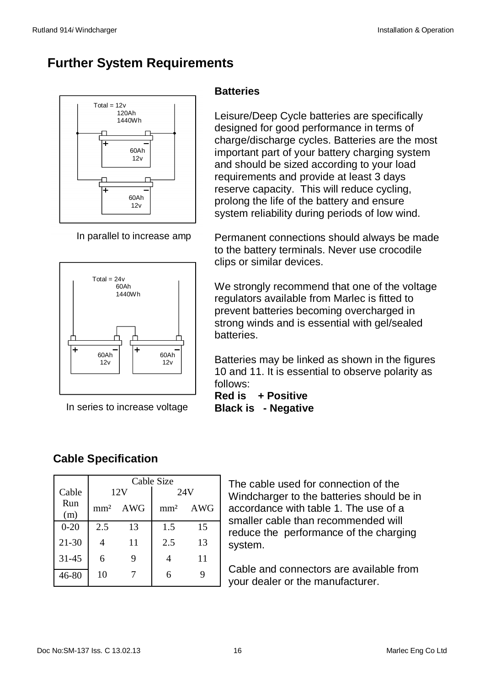# **Further System Requirements**



In parallel to increase amp



In series to increase voltage

#### **Batteries**

Leisure/Deep Cycle batteries are specifically designed for good performance in terms of charge/discharge cycles. Batteries are the most important part of your battery charging system and should be sized according to your load requirements and provide at least 3 days reserve capacity. This will reduce cycling, prolong the life of the battery and ensure system reliability during periods of low wind.

Permanent connections should always be made to the battery terminals. Never use crocodile clips or similar devices.

We strongly recommend that one of the voltage regulators available from Marlec is fitted to prevent batteries becoming overcharged in strong winds and is essential with gel/sealed batteries.

Batteries may be linked as shown in the figures 10 and 11. It is essential to observe polarity as follows:

**Red is + Positive Black is - Negative**

# **Cable Specification**

|            | Cable Size      |            |                 |            |
|------------|-----------------|------------|-----------------|------------|
| Cable      | 12V             |            | 24V             |            |
| Run<br>(m) | mm <sup>2</sup> | <b>AWG</b> | mm <sup>2</sup> | <b>AWG</b> |
| $0 - 20$   | 2.5             | 13         | 1.5             | 15         |
| $21 - 30$  | 4               | 11         | 2.5             | 13         |
| $31 - 45$  | 6               | 9          | 4               | 11         |
| 46-80      | 10              |            | 6               |            |

The cable used for connection of the Windcharger to the batteries should be in accordance with table 1. The use of a smaller cable than recommended will reduce the performance of the charging system.

Cable and connectors are available from your dealer or the manufacturer.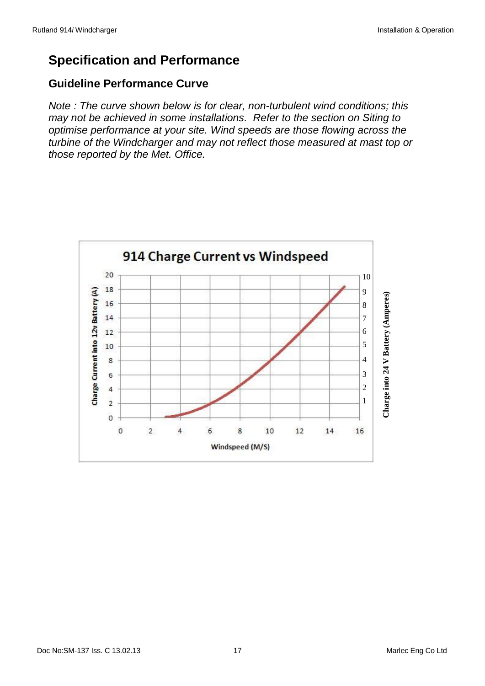# **Specification and Performance**

# **Guideline Performance Curve**

*Note : The curve shown below is for clear, non-turbulent wind conditions; this may not be achieved in some installations. Refer to the section on Siting to optimise performance at your site. Wind speeds are those flowing across the turbine of the Windcharger and may not reflect those measured at mast top or those reported by the Met. Office.*

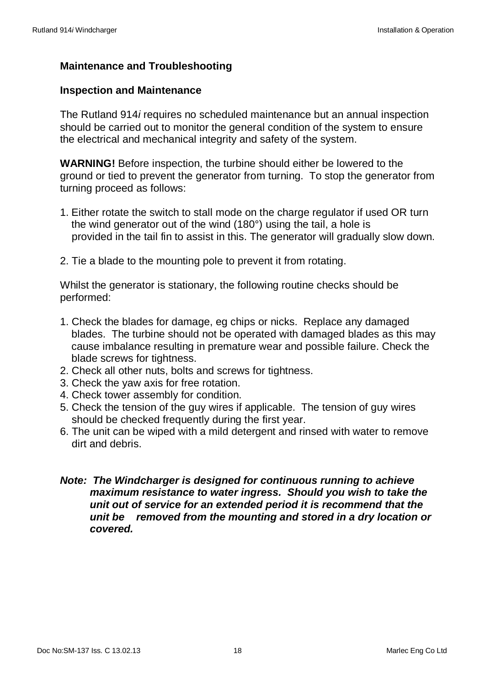## **Maintenance and Troubleshooting**

#### **Inspection and Maintenance**

The Rutland 914*i* requires no scheduled maintenance but an annual inspection should be carried out to monitor the general condition of the system to ensure the electrical and mechanical integrity and safety of the system.

**WARNING!** Before inspection, the turbine should either be lowered to the ground or tied to prevent the generator from turning. To stop the generator from turning proceed as follows:

- 1. Either rotate the switch to stall mode on the charge regulator if used OR turn the wind generator out of the wind (180°) using the tail, a hole is provided in the tail fin to assist in this. The generator will gradually slow down.
- 2. Tie a blade to the mounting pole to prevent it from rotating.

Whilst the generator is stationary, the following routine checks should be performed:

- 1. Check the blades for damage, eg chips or nicks. Replace any damaged blades. The turbine should not be operated with damaged blades as this may cause imbalance resulting in premature wear and possible failure. Check the blade screws for tightness.
- 2. Check all other nuts, bolts and screws for tightness.
- 3. Check the yaw axis for free rotation.
- 4. Check tower assembly for condition.
- 5. Check the tension of the guy wires if applicable. The tension of guy wires should be checked frequently during the first year.
- 6. The unit can be wiped with a mild detergent and rinsed with water to remove dirt and debris.
- *Note: The Windcharger is designed for continuous running to achieve maximum resistance to water ingress. Should you wish to take the unit out of service for an extended period it is recommend that the unit be removed from the mounting and stored in a dry location or covered.*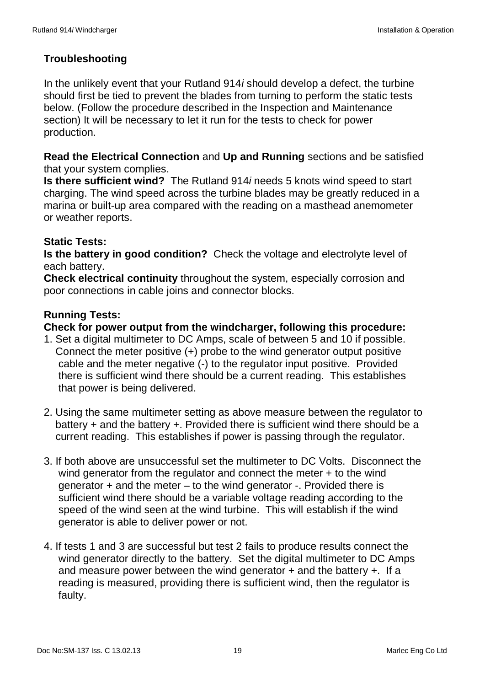# **Troubleshooting**

In the unlikely event that your Rutland 914*i* should develop a defect, the turbine should first be tied to prevent the blades from turning to perform the static tests below. (Follow the procedure described in the Inspection and Maintenance section) It will be necessary to let it run for the tests to check for power production.

**Read the Electrical Connection** and **Up and Running** sections and be satisfied that your system complies.

**Is there sufficient wind?** The Rutland 914*i* needs 5 knots wind speed to start charging. The wind speed across the turbine blades may be greatly reduced in a marina or built-up area compared with the reading on a masthead anemometer or weather reports.

#### **Static Tests:**

**Is the battery in good condition?** Check the voltage and electrolyte level of each battery.

**Check electrical continuity** throughout the system, especially corrosion and poor connections in cable joins and connector blocks.

#### **Running Tests:**

**Check for power output from the windcharger, following this procedure:** 

- 1. Set a digital multimeter to DC Amps, scale of between 5 and 10 if possible. Connect the meter positive (+) probe to the wind generator output positive cable and the meter negative (-) to the regulator input positive. Provided there is sufficient wind there should be a current reading. This establishes that power is being delivered.
- 2. Using the same multimeter setting as above measure between the regulator to battery + and the battery +. Provided there is sufficient wind there should be a current reading. This establishes if power is passing through the regulator.
- 3. If both above are unsuccessful set the multimeter to DC Volts. Disconnect the wind generator from the regulator and connect the meter + to the wind generator + and the meter – to the wind generator -. Provided there is sufficient wind there should be a variable voltage reading according to the speed of the wind seen at the wind turbine. This will establish if the wind generator is able to deliver power or not.
- 4. If tests 1 and 3 are successful but test 2 fails to produce results connect the wind generator directly to the battery. Set the digital multimeter to DC Amps and measure power between the wind generator  $+$  and the battery  $+$ . If a reading is measured, providing there is sufficient wind, then the regulator is faulty.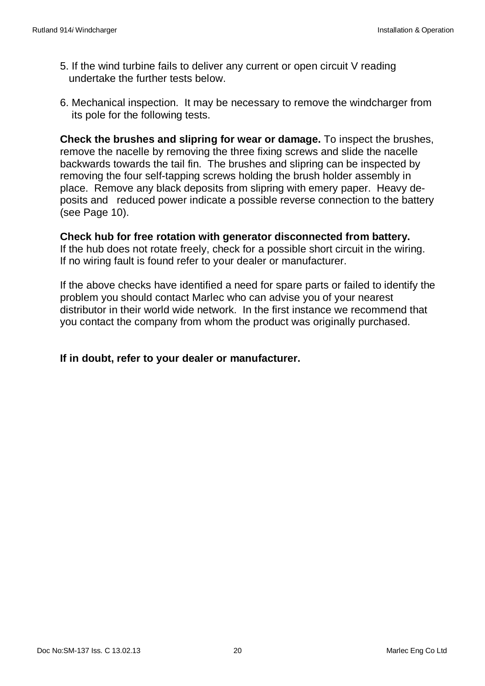- 5. If the wind turbine fails to deliver any current or open circuit V reading undertake the further tests below.
- 6. Mechanical inspection. It may be necessary to remove the windcharger from its pole for the following tests.

**Check the brushes and slipring for wear or damage.** To inspect the brushes, remove the nacelle by removing the three fixing screws and slide the nacelle backwards towards the tail fin. The brushes and slipring can be inspected by removing the four self-tapping screws holding the brush holder assembly in place. Remove any black deposits from slipring with emery paper. Heavy deposits and reduced power indicate a possible reverse connection to the battery (see Page 10).

#### **Check hub for free rotation with generator disconnected from battery.**

If the hub does not rotate freely, check for a possible short circuit in the wiring. If no wiring fault is found refer to your dealer or manufacturer.

If the above checks have identified a need for spare parts or failed to identify the problem you should contact Marlec who can advise you of your nearest distributor in their world wide network. In the first instance we recommend that you contact the company from whom the product was originally purchased.

#### **If in doubt, refer to your dealer or manufacturer.**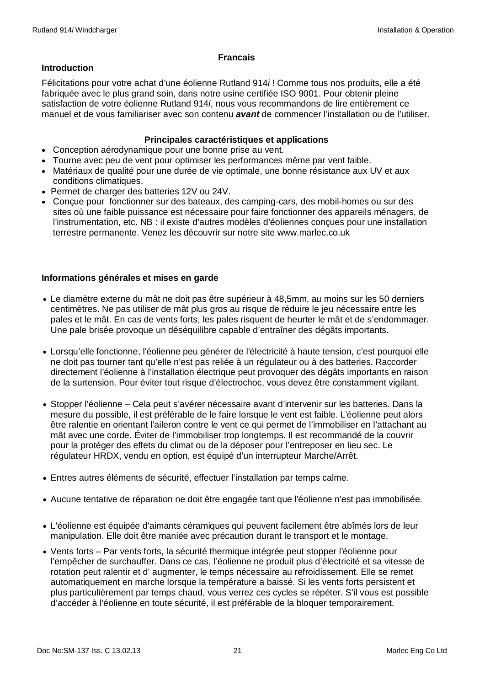#### **Francais**

#### **Introduction**

Félicitations pour votre achat d'une éolienne Rutland 914*i* ! Comme tous nos produits, elle a été fabriquée avec le plus grand soin, dans notre usine certifiée ISO 9001. Pour obtenir pleine satisfaction de votre éolienne Rutland 914*i*, nous vous recommandons de lire entièrement ce manuel et de vous familiariser avec son contenu *avant* de commencer l'installation ou de l'utiliser.

#### **Principales caractéristiques et applications**

- Conception aérodynamique pour une bonne prise au vent.
- Tourne avec peu de vent pour optimiser les performances même par vent faible.
- Matériaux de qualité pour une durée de vie optimale, une bonne résistance aux UV et aux conditions climatiques.
- Permet de charger des batteries 12V ou 24V.
- Conçue pour fonctionner sur des bateaux, des camping-cars, des mobil-homes ou sur des sites où une faible puissance est nécessaire pour faire fonctionner des appareils ménagers, de l'instrumentation, etc. NB : il existe d'autres modèles d'éoliennes conçues pour une installation terrestre permanente. Venez les découvrir sur notre site www.marlec.co.uk

#### **Informations générales et mises en garde**

- Le diamètre externe du mât ne doit pas être supérieur à 48,5mm, au moins sur les 50 derniers centimètres. Ne pas utiliser de mât plus gros au risque de réduire le jeu nécessaire entre les pales et le mât. En cas de vents forts, les pales risquent de heurter le mât et de s'endommager. Une pale brisée provoque un déséquilibre capable d'entraîner des dégâts importants.
- x Lorsqu'elle fonctionne, l'éolienne peu générer de l'électricité à haute tension, c'est pourquoi elle ne doit pas tourner tant qu'elle n'est pas reliée à un régulateur ou à des batteries. Raccorder directement l'éolienne à l'installation électrique peut provoquer des dégâts importants en raison de la surtension. Pour éviter tout risque d'électrochoc, vous devez être constamment vigilant.
- Stopper l'éolienne Cela peut s'avérer nécessaire avant d'intervenir sur les batteries. Dans la mesure du possible, il est préférable de le faire lorsque le vent est faible. L'éolienne peut alors être ralentie en orientant l'aileron contre le vent ce qui permet de l'immobiliser en l'attachant au mât avec une corde. Éviter de l'immobiliser trop longtemps. Il est recommandé de la couvrir pour la protéger des effets du climat ou de la déposer pour l'entreposer en lieu sec. Le régulateur HRDX, vendu en option, est équipé d'un interrupteur Marche/Arrêt.
- x Entres autres éléments de sécurité, effectuer l'installation par temps calme.
- x Aucune tentative de réparation ne doit être engagée tant que l'éolienne n'est pas immobilisée.
- x L'éolienne est équipée d'aimants céramiques qui peuvent facilement être abîmés lors de leur manipulation. Elle doit être maniée avec précaution durant le transport et le montage.
- x Vents forts Par vents forts, la sécurité thermique intégrée peut stopper l'éolienne pour l'empêcher de surchauffer. Dans ce cas, l'éolienne ne produit plus d'électricité et sa vitesse de rotation peut ralentir et d' augmenter, le temps nécessaire au refroidissement. Elle se remet automatiquement en marche lorsque la température a baissé. Si les vents forts persistent et plus particulièrement par temps chaud, vous verrez ces cycles se répéter. S'il vous est possible d'accéder à l'éolienne en toute sécurité, il est préférable de la bloquer temporairement.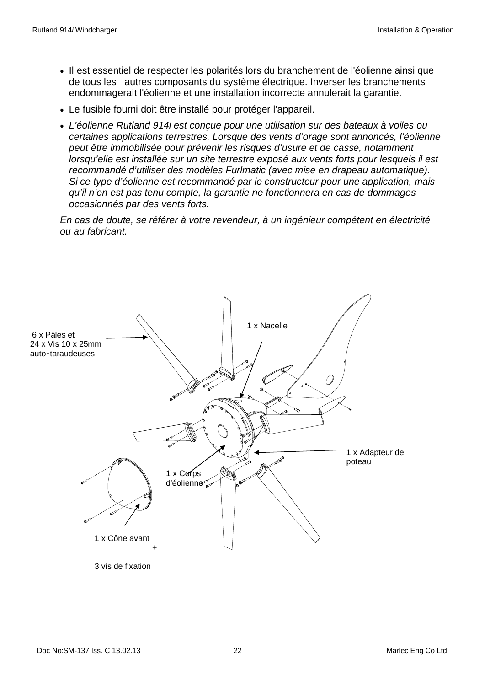- x Il est essentiel de respecter les polarités lors du branchement de l'éolienne ainsi que de tous les autres composants du système électrique. Inverser les branchements endommagerait l'éolienne et une installation incorrecte annulerait la garantie.
- Le fusible fourni doit être installé pour protéger l'appareil.
- x *L'éolienne Rutland 914i est conçue pour une utilisation sur des bateaux à voiles ou certaines applications terrestres. Lorsque des vents d'orage sont annoncés, l'éolienne peut être immobilisée pour prévenir les risques d'usure et de casse, notamment lorsqu'elle est installée sur un site terrestre exposé aux vents forts pour lesquels il est recommandé d'utiliser des modèles Furlmatic (avec mise en drapeau automatique). Si ce type d'éolienne est recommandé par le constructeur pour une application, mais qu'il n'en est pas tenu compte, la garantie ne fonctionnera en cas de dommages occasionnés par des vents forts.*

*En cas de doute, se référer à votre revendeur, à un ingénieur compétent en électricité ou au fabricant.* 

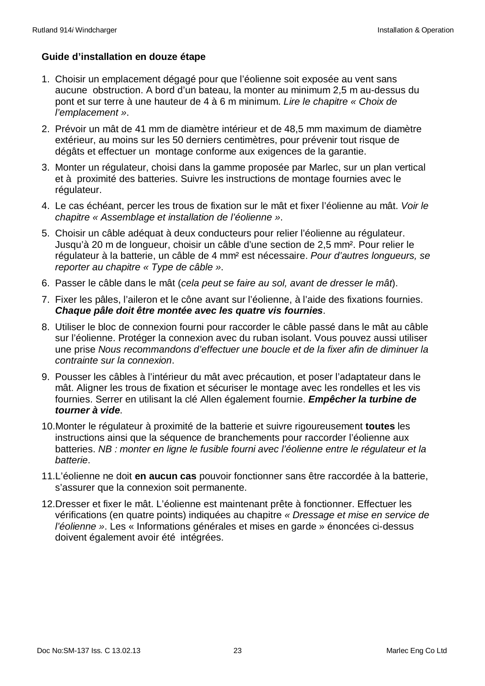#### **Guide d'installation en douze étape**

- 1. Choisir un emplacement dégagé pour que l'éolienne soit exposée au vent sans aucune obstruction. A bord d'un bateau, la monter au minimum 2,5 m au-dessus du pont et sur terre à une hauteur de 4 à 6 m minimum. *Lire le chapitre « Choix de l'emplacement »*.
- 2. Prévoir un mât de 41 mm de diamètre intérieur et de 48,5 mm maximum de diamètre extérieur, au moins sur les 50 derniers centimètres, pour prévenir tout risque de dégâts et effectuer un montage conforme aux exigences de la garantie.
- 3. Monter un régulateur, choisi dans la gamme proposée par Marlec, sur un plan vertical et à proximité des batteries. Suivre les instructions de montage fournies avec le régulateur.
- 4. Le cas échéant, percer les trous de fixation sur le mât et fixer l'éolienne au mât. *Voir le chapitre « Assemblage et installation de l'éolienne »*.
- 5. Choisir un câble adéquat à deux conducteurs pour relier l'éolienne au régulateur. Jusqu'à 20 m de longueur, choisir un câble d'une section de 2,5 mm². Pour relier le régulateur à la batterie, un câble de 4 mm² est nécessaire. *Pour d'autres longueurs, se reporter au chapitre « Type de câble »*.
- 6. Passer le câble dans le mât (*cela peut se faire au sol, avant de dresser le mât*).
- 7. Fixer les pâles, l'aileron et le cône avant sur l'éolienne, à l'aide des fixations fournies. *Chaque pâle doit être montée avec les quatre vis fournies*.
- 8. Utiliser le bloc de connexion fourni pour raccorder le câble passé dans le mât au câble sur l'éolienne. Protéger la connexion avec du ruban isolant. Vous pouvez aussi utiliser une prise *Nous recommandons d'effectuer une boucle et de la fixer afin de diminuer la contrainte sur la connexion*.
- 9. Pousser les câbles à l'intérieur du mât avec précaution, et poser l'adaptateur dans le mât. Aligner les trous de fixation et sécuriser le montage avec les rondelles et les vis fournies. Serrer en utilisant la clé Allen également fournie. *Empêcher la turbine de tourner à vide*.
- 10.Monter le régulateur à proximité de la batterie et suivre rigoureusement **toutes** les instructions ainsi que la séquence de branchements pour raccorder l'éolienne aux batteries. *NB : monter en ligne le fusible fourni avec l'éolienne entre le régulateur et la batterie*.
- 11.L'éolienne ne doit **en aucun cas** pouvoir fonctionner sans être raccordée à la batterie, s'assurer que la connexion soit permanente.
- 12.Dresser et fixer le mât. L'éolienne est maintenant prête à fonctionner. Effectuer les vérifications (en quatre points) indiquées au chapitre *« Dressage et mise en service de l'éolienne »*. Les « Informations générales et mises en garde » énoncées ci-dessus doivent également avoir été intégrées.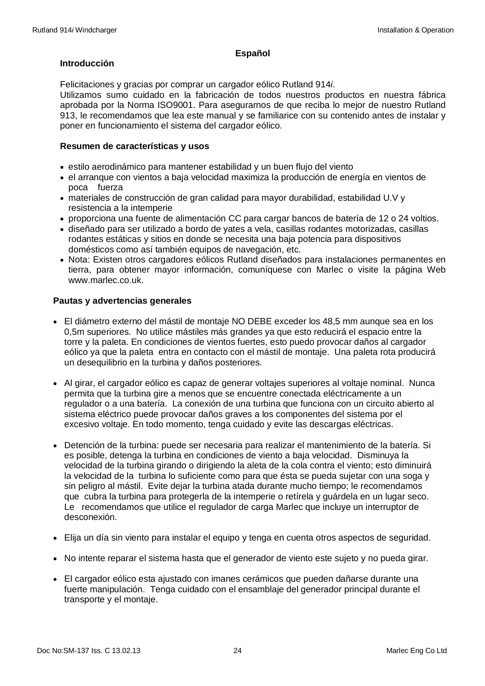#### **Español**

#### **Introducción**

Felicitaciones y gracias por comprar un cargador eólico Rutland 914*i*.

Utilizamos sumo cuidado en la fabricación de todos nuestros productos en nuestra fábrica aprobada por la Norma ISO9001. Para asegurarnos de que reciba lo mejor de nuestro Rutland 913, le recomendamos que lea este manual y se familiarice con su contenido antes de instalar y poner en funcionamiento el sistema del cargador eólico.

#### **Resumen de características y usos**

- estilo aerodinámico para mantener estabilidad y un buen flujo del viento
- x el arranque con vientos a baja velocidad maximiza la producción de energía en vientos de poca fuerza
- x materiales de construcción de gran calidad para mayor durabilidad, estabilidad U.V y resistencia a la intemperie
- x proporciona una fuente de alimentación CC para cargar bancos de batería de 12 o 24 voltios.
- x diseñado para ser utilizado a bordo de yates a vela, casillas rodantes motorizadas, casillas rodantes estáticas y sitios en donde se necesita una baja potencia para dispositivos domésticos como así también equipos de navegación, etc.
- Nota: Existen otros cargadores eólicos Rutland diseñados para instalaciones permanentes en tierra, para obtener mayor información, comuníquese con Marlec o visite la página Web www.marlec.co.uk.

#### **Pautas y advertencias generales**

- El diámetro externo del mástil de montaje NO DEBE exceder los 48,5 mm aunque sea en los 0,5m superiores. No utilice mástiles más grandes ya que esto reducirá el espacio entre la torre y la paleta. En condiciones de vientos fuertes, esto puedo provocar daños al cargador eólico ya que la paleta entra en contacto con el mástil de montaje. Una paleta rota producirá un desequilibrio en la turbina y daños posteriores.
- Al girar, el cargador eólico es capaz de generar voltajes superiores al voltaje nominal. Nunca permita que la turbina gire a menos que se encuentre conectada eléctricamente a un regulador o a una batería. La conexión de una turbina que funciona con un circuito abierto al sistema eléctrico puede provocar daños graves a los componentes del sistema por el excesivo voltaje. En todo momento, tenga cuidado y evite las descargas eléctricas.
- x Detención de la turbina: puede ser necesaria para realizar el mantenimiento de la batería. Si es posible, detenga la turbina en condiciones de viento a baja velocidad. Disminuya la velocidad de la turbina girando o dirigiendo la aleta de la cola contra el viento; esto diminuirá la velocidad de la turbina lo suficiente como para que ésta se pueda sujetar con una soga y sin peligro al mástil. Evite dejar la turbina atada durante mucho tiempo; le recomendamos que cubra la turbina para protegerla de la intemperie o retírela y guárdela en un lugar seco. Le recomendamos que utilice el regulador de carga Marlec que incluye un interruptor de desconexión.
- Elija un día sin viento para instalar el equipo y tenga en cuenta otros aspectos de seguridad.
- No intente reparar el sistema hasta que el generador de viento este sujeto y no pueda girar.
- El cargador eólico esta ajustado con imanes cerámicos que pueden dañarse durante una fuerte manipulación. Tenga cuidado con el ensamblaje del generador principal durante el transporte y el montaje.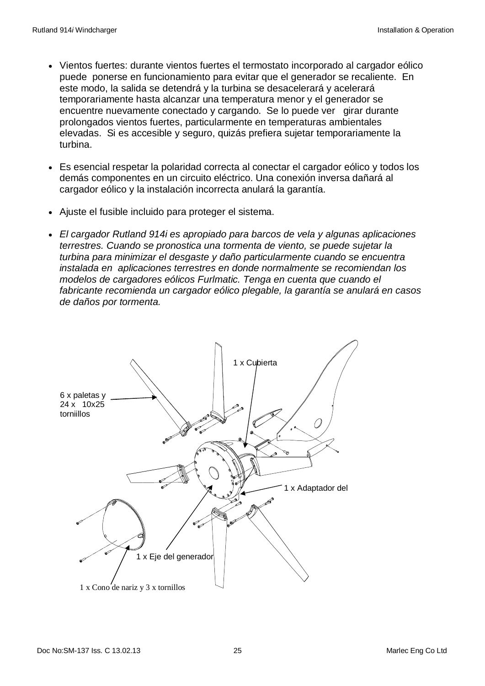- Vientos fuertes: durante vientos fuertes el termostato incorporado al cargador eólico puede ponerse en funcionamiento para evitar que el generador se recaliente. En este modo, la salida se detendrá y la turbina se desacelerará y acelerará temporariamente hasta alcanzar una temperatura menor y el generador se encuentre nuevamente conectado y cargando. Se lo puede ver girar durante prolongados vientos fuertes, particularmente en temperaturas ambientales elevadas. Si es accesible y seguro, quizás prefiera sujetar temporariamente la turbina.
- Es esencial respetar la polaridad correcta al conectar el cargador eólico y todos los demás componentes en un circuito eléctrico. Una conexión inversa dañará al cargador eólico y la instalación incorrecta anulará la garantía.
- x Ajuste el fusible incluido para proteger el sistema.
- x *El cargador Rutland 914i es apropiado para barcos de vela y algunas aplicaciones terrestres. Cuando se pronostica una tormenta de viento, se puede sujetar la turbina para minimizar el desgaste y daño particularmente cuando se encuentra instalada en aplicaciones terrestres en donde normalmente se recomiendan los modelos de cargadores eólicos Furlmatic. Tenga en cuenta que cuando el fabricante recomienda un cargador eólico plegable, la garantía se anulará en casos de daños por tormenta.*

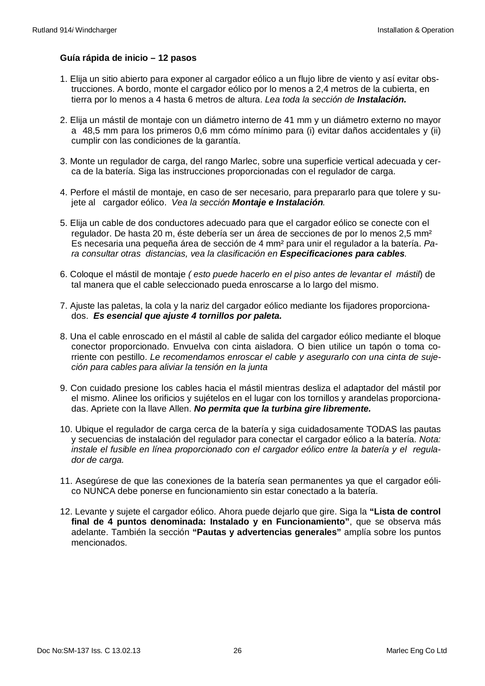#### **Guía rápida de inicio – 12 pasos**

- 1. Elija un sitio abierto para exponer al cargador eólico a un flujo libre de viento y así evitar obstrucciones. A bordo, monte el cargador eólico por lo menos a 2,4 metros de la cubierta, en tierra por lo menos a 4 hasta 6 metros de altura. *Lea toda la sección de Instalación.*
- 2. Elija un mástil de montaje con un diámetro interno de 41 mm y un diámetro externo no mayor a 48,5 mm para los primeros 0,6 mm cómo mínimo para (i) evitar daños accidentales y (ii) cumplir con las condiciones de la garantía.
- 3. Monte un regulador de carga, del rango Marlec, sobre una superficie vertical adecuada y cerca de la batería. Siga las instrucciones proporcionadas con el regulador de carga.
- 4. Perfore el mástil de montaje, en caso de ser necesario, para prepararlo para que tolere y sujete al cargador eólico. *Vea la sección Montaje e Instalación.*
- 5. Elija un cable de dos conductores adecuado para que el cargador eólico se conecte con el regulador. De hasta 20 m, éste debería ser un área de secciones de por lo menos 2,5 mm² Es necesaria una pequeña área de sección de 4 mm² para unir el regulador a la batería. *Para consultar otras distancias, vea la clasificación en Especificaciones para cables.*
- 6. Coloque el mástil de montaje *( esto puede hacerlo en el piso antes de levantar el mástil*) de tal manera que el cable seleccionado pueda enroscarse a lo largo del mismo.
- 7. Ajuste las paletas, la cola y la nariz del cargador eólico mediante los fijadores proporcionados. *Es esencial que ajuste 4 tornillos por paleta.*
- 8. Una el cable enroscado en el mástil al cable de salida del cargador eólico mediante el bloque conector proporcionado. Envuelva con cinta aisladora. O bien utilice un tapón o toma corriente con pestillo. *Le recomendamos enroscar el cable y asegurarlo con una cinta de sujeción para cables para aliviar la tensión en la junta*
- 9. Con cuidado presione los cables hacia el mástil mientras desliza el adaptador del mástil por el mismo. Alinee los orificios y sujételos en el lugar con los tornillos y arandelas proporcionadas. Apriete con la llave Allen. *No permita que la turbina gire libremente.*
- 10. Ubique el regulador de carga cerca de la batería y siga cuidadosamente TODAS las pautas y secuencias de instalación del regulador para conectar el cargador eólico a la batería. *Nota: instale el fusible en línea proporcionado con el cargador eólico entre la batería y el regulador de carga.*
- 11. Asegúrese de que las conexiones de la batería sean permanentes ya que el cargador eólico NUNCA debe ponerse en funcionamiento sin estar conectado a la batería.
- 12. Levante y sujete el cargador eólico. Ahora puede dejarlo que gire. Siga la **"Lista de control final de 4 puntos denominada: Instalado y en Funcionamiento"**, que se observa más adelante. También la sección **"Pautas y advertencias generales"** amplía sobre los puntos mencionados.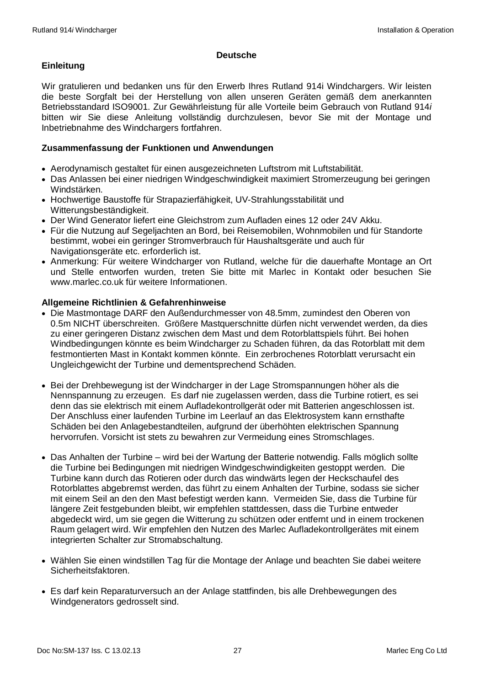#### **Deutsche**

#### **Einleitung**

Wir gratulieren und bedanken uns für den Erwerb Ihres Rutland 914i Windchargers. Wir leisten die beste Sorgfalt bei der Herstellung von allen unseren Geräten gemäß dem anerkannten Betriebsstandard ISO9001. Zur Gewährleistung für alle Vorteile beim Gebrauch von Rutland 914*i* bitten wir Sie diese Anleitung vollständig durchzulesen, bevor Sie mit der Montage und Inbetriebnahme des Windchargers fortfahren.

#### **Zusammenfassung der Funktionen und Anwendungen**

- x Aerodynamisch gestaltet für einen ausgezeichneten Luftstrom mit Luftstabilität.
- Das Anlassen bei einer niedrigen Windgeschwindigkeit maximiert Stromerzeugung bei geringen Windstärken.
- Hochwertige Baustoffe für Strapazierfähigkeit, UV-Strahlungsstabilität und Witterungsbeständigkeit.
- Der Wind Generator liefert eine Gleichstrom zum Aufladen eines 12 oder 24V Akku.
- Für die Nutzung auf Segeliachten an Bord, bei Reisemobilen, Wohnmobilen und für Standorte bestimmt, wobei ein geringer Stromverbrauch für Haushaltsgeräte und auch für Navigationsgeräte etc. erforderlich ist.
- Anmerkung: Für weitere Windcharger von Rutland, welche für die dauerhafte Montage an Ort und Stelle entworfen wurden, treten Sie bitte mit Marlec in Kontakt oder besuchen Sie www.marlec.co.uk für weitere Informationen.

#### **Allgemeine Richtlinien & Gefahrenhinweise**

- x Die Mastmontage DARF den Außendurchmesser von 48.5mm, zumindest den Oberen von 0.5m NICHT überschreiten. Größere Mastquerschnitte dürfen nicht verwendet werden, da dies zu einer geringeren Distanz zwischen dem Mast und dem Rotorblattspiels führt. Bei hohen Windbedingungen könnte es beim Windcharger zu Schaden führen, da das Rotorblatt mit dem festmontierten Mast in Kontakt kommen könnte. Ein zerbrochenes Rotorblatt verursacht ein Ungleichgewicht der Turbine und dementsprechend Schäden.
- Bei der Drehbewegung ist der Windcharger in der Lage Stromspannungen höher als die Nennspannung zu erzeugen. Es darf nie zugelassen werden, dass die Turbine rotiert, es sei denn das sie elektrisch mit einem Aufladekontrollgerät oder mit Batterien angeschlossen ist. Der Anschluss einer laufenden Turbine im Leerlauf an das Elektrosystem kann ernsthafte Schäden bei den Anlagebestandteilen, aufgrund der überhöhten elektrischen Spannung hervorrufen. Vorsicht ist stets zu bewahren zur Vermeidung eines Stromschlages.
- Das Anhalten der Turbine wird bei der Wartung der Batterie notwendig. Falls möglich sollte die Turbine bei Bedingungen mit niedrigen Windgeschwindigkeiten gestoppt werden. Die Turbine kann durch das Rotieren oder durch das windwärts legen der Heckschaufel des Rotorblattes abgebremst werden, das führt zu einem Anhalten der Turbine, sodass sie sicher mit einem Seil an den den Mast befestigt werden kann. Vermeiden Sie, dass die Turbine für längere Zeit festgebunden bleibt, wir empfehlen stattdessen, dass die Turbine entweder abgedeckt wird, um sie gegen die Witterung zu schützen oder entfernt und in einem trockenen Raum gelagert wird. Wir empfehlen den Nutzen des Marlec Aufladekontrollgerätes mit einem integrierten Schalter zur Stromabschaltung.
- Wählen Sie einen windstillen Tag für die Montage der Anlage und beachten Sie dabei weitere Sicherheitsfaktoren.
- Es darf kein Reparaturversuch an der Anlage stattfinden, bis alle Drehbewegungen des Windgenerators gedrosselt sind.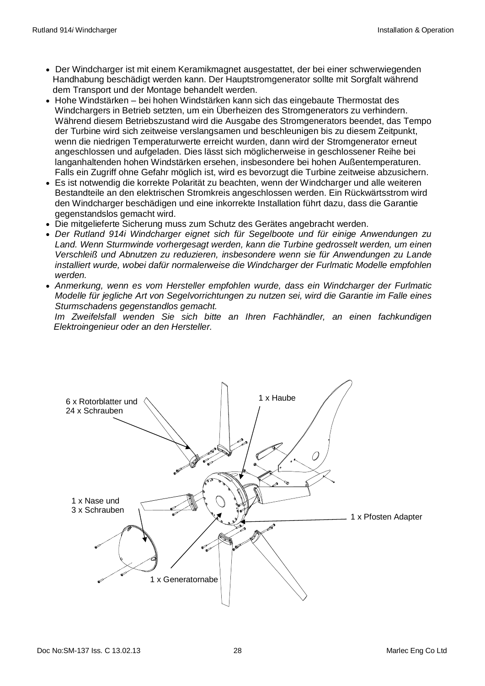- Der Windcharger ist mit einem Keramikmagnet ausgestattet, der bei einer schwerwiegenden Handhabung beschädigt werden kann. Der Hauptstromgenerator sollte mit Sorgfalt während dem Transport und der Montage behandelt werden.
- Hohe Windstärken bei hohen Windstärken kann sich das eingebaute Thermostat des Windchargers in Betrieb setzten, um ein Überheizen des Stromgenerators zu verhindern. Während diesem Betriebszustand wird die Ausgabe des Stromgenerators beendet, das Tempo der Turbine wird sich zeitweise verslangsamen und beschleunigen bis zu diesem Zeitpunkt, wenn die niedrigen Temperaturwerte erreicht wurden, dann wird der Stromgenerator erneut angeschlossen und aufgeladen. Dies lässt sich möglicherweise in geschlossener Reihe bei langanhaltenden hohen Windstärken ersehen, insbesondere bei hohen Außentemperaturen. Falls ein Zugriff ohne Gefahr möglich ist, wird es bevorzugt die Turbine zeitweise abzusichern.
- Es ist notwendig die korrekte Polarität zu beachten, wenn der Windcharger und alle weiteren Bestandteile an den elektrischen Stromkreis angeschlossen werden. Ein Rückwärtsstrom wird den Windcharger beschädigen und eine inkorrekte Installation führt dazu, dass die Garantie gegenstandslos gemacht wird.
- x Die mitgelieferte Sicherung muss zum Schutz des Gerätes angebracht werden.
- x *Der Rutland 914i Windcharger eignet sich für Segelboote und für einige Anwendungen zu Land. Wenn Sturmwinde vorhergesagt werden, kann die Turbine gedrosselt werden, um einen Verschleiß und Abnutzen zu reduzieren, insbesondere wenn sie für Anwendungen zu Lande installiert wurde, wobei dafür normalerweise die Windcharger der Furlmatic Modelle empfohlen werden.*
- x *Anmerkung, wenn es vom Hersteller empfohlen wurde, dass ein Windcharger der Furlmatic Modelle für jegliche Art von Segelvorrichtungen zu nutzen sei, wird die Garantie im Falle eines Sturmschadens gegenstandlos gemacht.*

 *Im Zweifelsfall wenden Sie sich bitte an Ihren Fachhändler, an einen fachkundigen Elektroingenieur oder an den Hersteller.* 

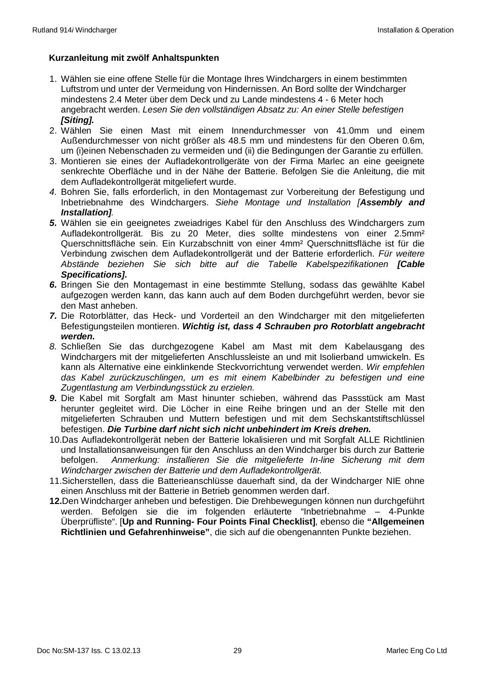#### **Kurzanleitung mit zwölf Anhaltspunkten**

- 1. Wählen sie eine offene Stelle für die Montage Ihres Windchargers in einem bestimmten Luftstrom und unter der Vermeidung von Hindernissen. An Bord sollte der Windcharger mindestens 2.4 Meter über dem Deck und zu Lande mindestens 4 - 6 Meter hoch angebracht werden. *Lesen Sie den vollständigen Absatz zu: An einer Stelle befestigen [Siting].*
- 2. Wählen Sie einen Mast mit einem Innendurchmesser von 41.0mm und einem Außendurchmesser von nicht größer als 48.5 mm und mindestens für den Oberen 0.6m, um (i)einen Nebenschaden zu vermeiden und (ii) die Bedingungen der Garantie zu erfüllen.
- 3. Montieren sie eines der Aufladekontrollgeräte von der Firma Marlec an eine geeignete senkrechte Oberfläche und in der Nähe der Batterie. Befolgen Sie die Anleitung, die mit dem Aufladekontrollgerät mitgeliefert wurde.
- *4.* Bohren Sie, falls erforderlich, in den Montagemast zur Vorbereitung der Befestigung und Inbetriebnahme des Windchargers. *Siehe Montage und Installation [Assembly and Installation].*
- *5.* Wählen sie ein geeignetes zweiadriges Kabel für den Anschluss des Windchargers zum Aufladekontrollgerät. Bis zu 20 Meter, dies sollte mindestens von einer 2.5mm² Querschnittsfläche sein. Ein Kurzabschnitt von einer 4mm² Querschnittsfläche ist für die Verbindung zwischen dem Aufladekontrollgerät und der Batterie erforderlich. *Für weitere Abstände beziehen Sie sich bitte auf die Tabelle Kabelspezifikationen [Cable Specifications].*
- *6.* Bringen Sie den Montagemast in eine bestimmte Stellung, sodass das gewählte Kabel aufgezogen werden kann, das kann auch auf dem Boden durchgeführt werden, bevor sie den Mast anheben.
- *7.* Die Rotorblätter, das Heck- und Vorderteil an den Windcharger mit den mitgelieferten Befestigungsteilen montieren. *Wichtig ist, dass 4 Schrauben pro Rotorblatt angebracht werden.*
- *8.* Schließen Sie das durchgezogene Kabel am Mast mit dem Kabelausgang des Windchargers mit der mitgelieferten Anschlussleiste an und mit Isolierband umwickeln. Es kann als Alternative eine einklinkende Steckvorrichtung verwendet werden. *Wir empfehlen das Kabel zurückzuschlingen, um es mit einem Kabelbinder zu befestigen und eine Zugentlastung am Verbindungsstück zu erzielen.*
- *9.* Die Kabel mit Sorgfalt am Mast hinunter schieben, während das Passstück am Mast herunter gegleitet wird. Die Löcher in eine Reihe bringen und an der Stelle mit den mitgelieferten Schrauben und Muttern befestigen und mit dem Sechskantstiftschlüssel befestigen. *Die Turbine darf nicht sich nicht unbehindert im Kreis drehen.*
- 10.Das Aufladekontrollgerät neben der Batterie lokalisieren und mit Sorgfalt ALLE Richtlinien und Installationsanweisungen für den Anschluss an den Windcharger bis durch zur Batterie befolgen. *Anmerkung: installieren Sie die mitgelieferte In-line Sicherung mit dem Windcharger zwischen der Batterie und dem Aufladekontrollgerät.*
- 11.Sicherstellen, dass die Batterieanschlüsse dauerhaft sind, da der Windcharger NIE ohne einen Anschluss mit der Batterie in Betrieb genommen werden darf.
- **12.**Den Windcharger anheben und befestigen. Die Drehbewegungen können nun durchgeführt werden. Befolgen sie die im folgenden erläuterte "Inbetriebnahme – 4-Punkte Überprüfliste". [**Up and Running- Four Points Final Checklist]**, ebenso die **"Allgemeinen Richtlinien und Gefahrenhinweise"**, die sich auf die obengenannten Punkte beziehen.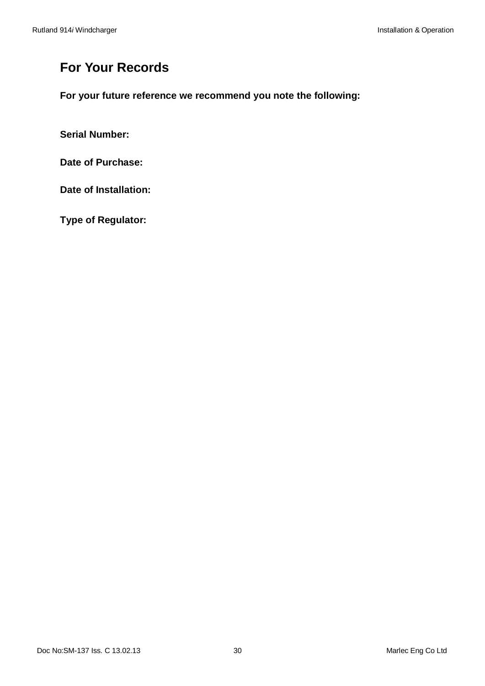# **For Your Records**

**For your future reference we recommend you note the following:** 

**Serial Number:** 

**Date of Purchase:** 

**Date of Installation:** 

**Type of Regulator:**